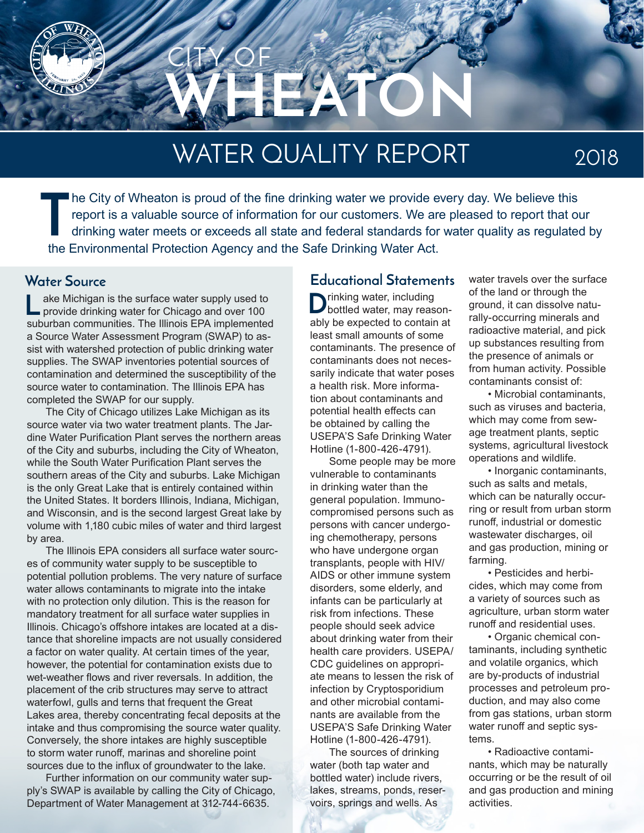

# WATER QUALITY REPORT

2018

**T** he City of Wheaton is proud of the fine drinking water we provide every day. We believe this report is a valuable source of information for our customers. We are pleased to report that our drinking water meets or exceeds all state and federal standards for water quality as regulated by the Environmental Protection Agency and the Safe Drinking Water Act.

ake Michigan is the surface water supply used to provide drinking water for Chicago and over 100 suburban communities. The Illinois EPA implemented a Source Water Assessment Program (SWAP) to assist with watershed protection of public drinking water supplies. The SWAP inventories potential sources of contamination and determined the susceptibility of the source water to contamination. The Illinois EPA has completed the SWAP for our supply. **L**

The City of Chicago utilizes Lake Michigan as its source water via two water treatment plants. The Jardine Water Purification Plant serves the northern areas of the City and suburbs, including the City of Wheaton, while the South Water Purification Plant serves the southern areas of the City and suburbs. Lake Michigan is the only Great Lake that is entirely contained within the United States. It borders Illinois, Indiana, Michigan, and Wisconsin, and is the second largest Great lake by volume with 1,180 cubic miles of water and third largest by area.

The Illinois EPA considers all surface water sources of community water supply to be susceptible to potential pollution problems. The very nature of surface water allows contaminants to migrate into the intake with no protection only dilution. This is the reason for mandatory treatment for all surface water supplies in Illinois. Chicago's offshore intakes are located at a distance that shoreline impacts are not usually considered a factor on water quality. At certain times of the year, however, the potential for contamination exists due to wet-weather flows and river reversals. In addition, the placement of the crib structures may serve to attract waterfowl, gulls and terns that frequent the Great Lakes area, thereby concentrating fecal deposits at the intake and thus compromising the source water quality. Conversely, the shore intakes are highly susceptible to storm water runoff, marinas and shoreline point sources due to the influx of groundwater to the lake.

Further information on our community water supply's SWAP is available by calling the City of Chicago, Department of Water Management at 312-744-6635.

#### **Water Source Educational Statements**

 $\sum$ rinking water, including<br>bottled water, may reasonably be expected to contain at least small amounts of some contaminants. The presence of contaminants does not necessarily indicate that water poses a health risk. More information about contaminants and potential health effects can be obtained by calling the USEPA'S Safe Drinking Water Hotline (1-800-426-4791).

Some people may be more vulnerable to contaminants in drinking water than the general population. Immunocompromised persons such as persons with cancer undergoing chemotherapy, persons who have undergone organ transplants, people with HIV/ AIDS or other immune system disorders, some elderly, and infants can be particularly at risk from infections. These people should seek advice about drinking water from their health care providers. USEPA/ CDC guidelines on appropriate means to lessen the risk of infection by Cryptosporidium and other microbial contaminants are available from the USEPA'S Safe Drinking Water Hotline (1-800-426-4791).

The sources of drinking water (both tap water and bottled water) include rivers, lakes, streams, ponds, reservoirs, springs and wells. As

water travels over the surface of the land or through the ground, it can dissolve naturally-occurring minerals and radioactive material, and pick up substances resulting from the presence of animals or from human activity. Possible contaminants consist of:

• Microbial contaminants, such as viruses and bacteria, which may come from sewage treatment plants, septic systems, agricultural livestock operations and wildlife.

• Inorganic contaminants, such as salts and metals, which can be naturally occurring or result from urban storm runoff, industrial or domestic wastewater discharges, oil and gas production, mining or farming.

• Pesticides and herbicides, which may come from a variety of sources such as agriculture, urban storm water runoff and residential uses.

• Organic chemical contaminants, including synthetic and volatile organics, which are by-products of industrial processes and petroleum production, and may also come from gas stations, urban storm water runoff and septic systems.

• Radioactive contaminants, which may be naturally occurring or be the result of oil and gas production and mining activities.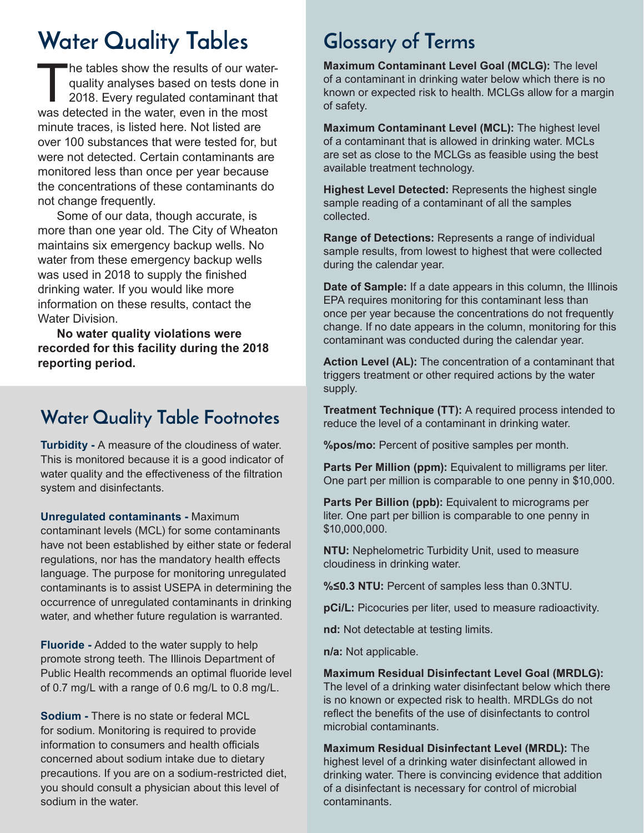# **Water Quality Tables Glossary of Terms**

The tables show the results of our waterquality analyses based on tests done in 2018. Every regulated contaminant that was detected in the water, even in the most minute traces, is listed here. Not listed are over 100 substances that were tested for, but were not detected. Certain contaminants are monitored less than once per year because the concentrations of these contaminants do not change frequently.

Some of our data, though accurate, is more than one year old. The City of Wheaton maintains six emergency backup wells. No water from these emergency backup wells was used in 2018 to supply the finished drinking water. If you would like more information on these results, contact the Water Division.

**No water quality violations were recorded for this facility during the 2018 reporting period.**

#### **Water Quality Table Footnotes**

**Turbidity -** A measure of the cloudiness of water. This is monitored because it is a good indicator of water quality and the effectiveness of the filtration system and disinfectants.

**Unregulated contaminants -** Maximum

contaminant levels (MCL) for some contaminants have not been established by either state or federal regulations, nor has the mandatory health effects language. The purpose for monitoring unregulated contaminants is to assist USEPA in determining the occurrence of unregulated contaminants in drinking water, and whether future regulation is warranted.

**Fluoride -** Added to the water supply to help promote strong teeth. The Illinois Department of Public Health recommends an optimal fluoride level of 0.7 mg/L with a range of 0.6 mg/L to 0.8 mg/L.

**Sodium -** There is no state or federal MCL for sodium. Monitoring is required to provide information to consumers and health officials concerned about sodium intake due to dietary precautions. If you are on a sodium-restricted diet, you should consult a physician about this level of sodium in the water.

**Maximum Contaminant Level Goal (MCLG):** The level of a contaminant in drinking water below which there is no known or expected risk to health. MCLGs allow for a margin of safety.

**Maximum Contaminant Level (MCL):** The highest level of a contaminant that is allowed in drinking water. MCLs are set as close to the MCLGs as feasible using the best available treatment technology.

**Highest Level Detected:** Represents the highest single sample reading of a contaminant of all the samples collected.

**Range of Detections:** Represents a range of individual sample results, from lowest to highest that were collected during the calendar year.

**Date of Sample:** If a date appears in this column, the Illinois EPA requires monitoring for this contaminant less than once per year because the concentrations do not frequently change. If no date appears in the column, monitoring for this contaminant was conducted during the calendar year.

**Action Level (AL):** The concentration of a contaminant that triggers treatment or other required actions by the water supply.

**Treatment Technique (TT):** A required process intended to reduce the level of a contaminant in drinking water.

**%pos/mo:** Percent of positive samples per month.

**Parts Per Million (ppm):** Equivalent to milligrams per liter. One part per million is comparable to one penny in \$10,000.

**Parts Per Billion (ppb):** Equivalent to micrograms per liter. One part per billion is comparable to one penny in \$10,000,000.

**NTU:** Nephelometric Turbidity Unit, used to measure cloudiness in drinking water.

**%≤0.3 NTU:** Percent of samples less than 0.3NTU.

**pCi/L:** Picocuries per liter, used to measure radioactivity.

**nd:** Not detectable at testing limits.

**n/a:** Not applicable.

**Maximum Residual Disinfectant Level Goal (MRDLG):** The level of a drinking water disinfectant below which there is no known or expected risk to health. MRDLGs do not reflect the benefits of the use of disinfectants to control microbial contaminants.

**Maximum Residual Disinfectant Level (MRDL):** The highest level of a drinking water disinfectant allowed in drinking water. There is convincing evidence that addition of a disinfectant is necessary for control of microbial contaminants.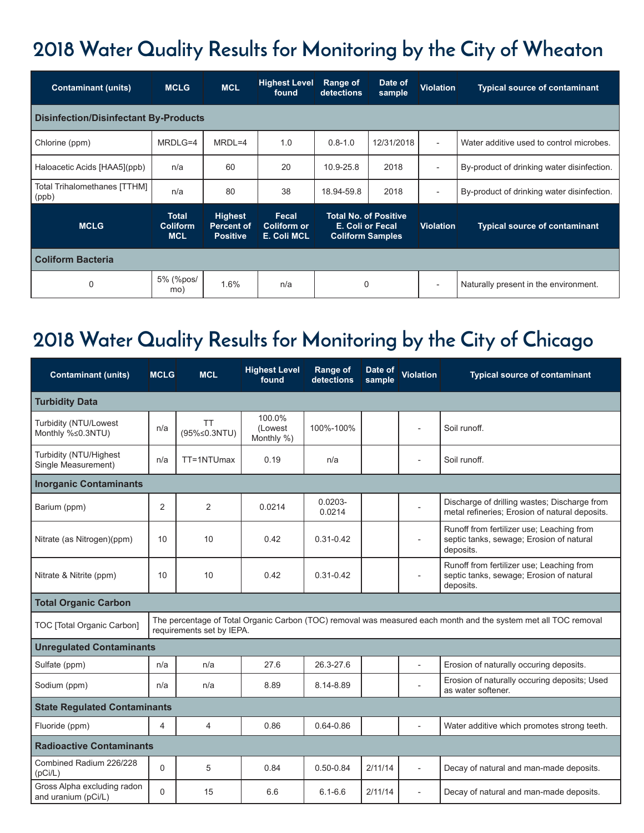## **2018 Water Quality Results for Monitoring by the City of Wheaton**

| <b>Contaminant (units)</b>                   | <b>MCLG</b>                                   | <b>MCL</b>                                             | <b>Highest Level</b><br>found                     | Range of<br>detections                                                      | Date of<br>sample | <b>Violation</b>         | <b>Typical source of contaminant</b>       |  |  |  |  |  |
|----------------------------------------------|-----------------------------------------------|--------------------------------------------------------|---------------------------------------------------|-----------------------------------------------------------------------------|-------------------|--------------------------|--------------------------------------------|--|--|--|--|--|
| <b>Disinfection/Disinfectant By-Products</b> |                                               |                                                        |                                                   |                                                                             |                   |                          |                                            |  |  |  |  |  |
| Chlorine (ppm)                               | MRDLG=4                                       | $MRDL=4$                                               | 1.0                                               | $0.8 - 1.0$                                                                 | 12/31/2018        | $\overline{\phantom{a}}$ | Water additive used to control microbes.   |  |  |  |  |  |
| Haloacetic Acids [HAA5](ppb)                 | n/a                                           | 60                                                     | 20                                                | 10.9-25.8                                                                   | 2018              | $\overline{\phantom{a}}$ | By-product of drinking water disinfection. |  |  |  |  |  |
| Total Trihalomethanes [TTHM]<br>(ppb)        | n/a                                           | 80                                                     | 38                                                | 18.94-59.8                                                                  | 2018              | $\overline{\phantom{a}}$ | By-product of drinking water disinfection. |  |  |  |  |  |
| <b>MCLG</b>                                  | <b>Total</b><br><b>Coliform</b><br><b>MCL</b> | <b>Highest</b><br><b>Percent of</b><br><b>Positive</b> | <b>Fecal</b><br><b>Coliform or</b><br>E. Coli MCL | <b>Total No. of Positive</b><br>E. Coli or Fecal<br><b>Coliform Samples</b> |                   | <b>Violation</b>         | <b>Typical source of contaminant</b>       |  |  |  |  |  |
| <b>Coliform Bacteria</b>                     |                                               |                                                        |                                                   |                                                                             |                   |                          |                                            |  |  |  |  |  |
| $\mathbf 0$                                  | 5% (%pos/<br>mo)                              | 1.6%                                                   | n/a                                               | $\mathbf 0$                                                                 |                   | $\overline{a}$           | Naturally present in the environment.      |  |  |  |  |  |

### **2018 Water Quality Results for Monitoring by the City of Chicago**

| <b>Contaminant (units)</b>                                                                                                                                                 | <b>MCLG</b> | <b>MCL</b>                | <b>Highest Level</b><br>found    | <b>Range of</b><br>detections | Date of<br>sample | <b>Violation</b>         | <b>Typical source of contaminant</b>                                                               |  |  |  |  |
|----------------------------------------------------------------------------------------------------------------------------------------------------------------------------|-------------|---------------------------|----------------------------------|-------------------------------|-------------------|--------------------------|----------------------------------------------------------------------------------------------------|--|--|--|--|
| <b>Turbidity Data</b>                                                                                                                                                      |             |                           |                                  |                               |                   |                          |                                                                                                    |  |  |  |  |
| Turbidity (NTU/Lowest<br>Monthly %≤0.3NTU)                                                                                                                                 | n/a         | <b>TT</b><br>(95%≤0.3NTU) | 100.0%<br>(Lowest)<br>Monthly %) | 100%-100%                     |                   |                          | Soil runoff.                                                                                       |  |  |  |  |
| Turbidity (NTU/Highest<br>Single Measurement)                                                                                                                              | n/a         | TT=1NTUmax                | 0.19                             | n/a                           |                   |                          | Soil runoff.                                                                                       |  |  |  |  |
| <b>Inorganic Contaminants</b>                                                                                                                                              |             |                           |                                  |                               |                   |                          |                                                                                                    |  |  |  |  |
| Barium (ppm)                                                                                                                                                               | 2           | $\mathfrak{p}$            | 0.0214                           | $0.0203 -$<br>0.0214          |                   |                          | Discharge of drilling wastes; Discharge from<br>metal refineries; Erosion of natural deposits.     |  |  |  |  |
| Nitrate (as Nitrogen)(ppm)                                                                                                                                                 | 10          | 10                        | 0.42                             | $0.31 - 0.42$                 |                   |                          | Runoff from fertilizer use; Leaching from<br>septic tanks, sewage; Erosion of natural<br>deposits. |  |  |  |  |
| Nitrate & Nitrite (ppm)                                                                                                                                                    | 10          | 10                        | 0.42                             | $0.31 - 0.42$                 |                   |                          | Runoff from fertilizer use; Leaching from<br>septic tanks, sewage; Erosion of natural<br>deposits. |  |  |  |  |
| <b>Total Organic Carbon</b>                                                                                                                                                |             |                           |                                  |                               |                   |                          |                                                                                                    |  |  |  |  |
| The percentage of Total Organic Carbon (TOC) removal was measured each month and the system met all TOC removal<br>TOC [Total Organic Carbon]<br>requirements set by IEPA. |             |                           |                                  |                               |                   |                          |                                                                                                    |  |  |  |  |
| <b>Unregulated Contaminants</b>                                                                                                                                            |             |                           |                                  |                               |                   |                          |                                                                                                    |  |  |  |  |
| Sulfate (ppm)                                                                                                                                                              | n/a         | n/a                       | 27.6                             | 26.3-27.6                     |                   |                          | Erosion of naturally occuring deposits.                                                            |  |  |  |  |
| Sodium (ppm)                                                                                                                                                               | n/a         | n/a                       | 8.89                             | 8.14-8.89                     |                   |                          | Erosion of naturally occuring deposits; Used<br>as water softener.                                 |  |  |  |  |
| <b>State Regulated Contaminants</b>                                                                                                                                        |             |                           |                                  |                               |                   |                          |                                                                                                    |  |  |  |  |
| Fluoride (ppm)                                                                                                                                                             | 4           | 4                         | 0.86                             | $0.64 - 0.86$                 |                   |                          | Water additive which promotes strong teeth.                                                        |  |  |  |  |
| <b>Radioactive Contaminants</b>                                                                                                                                            |             |                           |                                  |                               |                   |                          |                                                                                                    |  |  |  |  |
| Combined Radium 226/228<br>(pCi/L)                                                                                                                                         | $\Omega$    | 5                         | 0.84                             | $0.50 - 0.84$                 | 2/11/14           | $\overline{\phantom{a}}$ | Decay of natural and man-made deposits.                                                            |  |  |  |  |
| Gross Alpha excluding radon<br>and uranium (pCi/L)                                                                                                                         | $\Omega$    | 15                        | 6.6                              | $6.1 - 6.6$                   | 2/11/14           | $\overline{a}$           | Decay of natural and man-made deposits.                                                            |  |  |  |  |